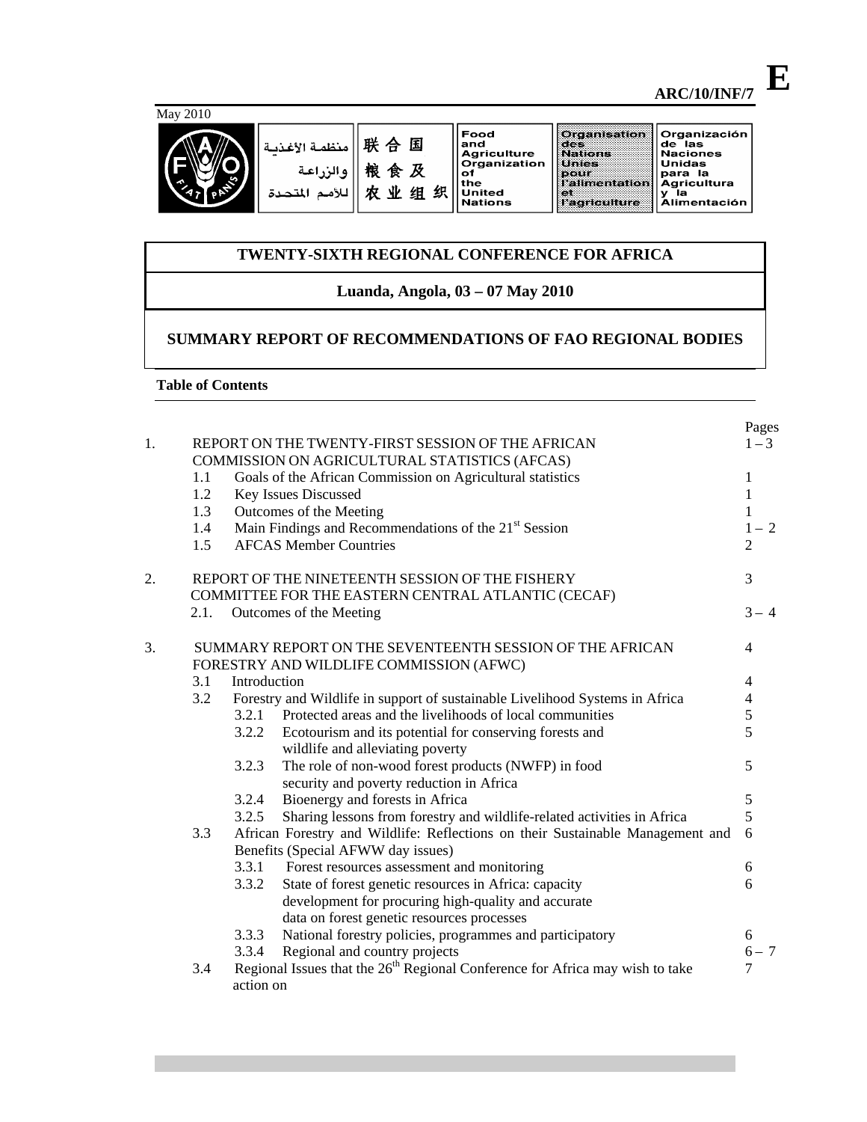# May 2010



| 联 合 国    منظمة الأغذيـة<br>粮食及<br>  والزراعة<br>للأمم المتحدة<br>业 | 细 | Food<br>and<br><b>Agriculture</b><br><b>Organization</b><br>оt<br>the<br><b>United</b><br><b>Nations</b> | Organisation<br>te est<br><b>Nations</b><br><b>Unies</b><br>DOUF<br><b>I'alimentation</b><br><b>KOM</b><br>Hagriculture | Organización<br>de las<br><b>Naciones</b><br>Unidas<br>para la<br><b>Agricultura</b><br>la<br>v<br><b>Alimentación</b> |
|--------------------------------------------------------------------|---|----------------------------------------------------------------------------------------------------------|-------------------------------------------------------------------------------------------------------------------------|------------------------------------------------------------------------------------------------------------------------|
|--------------------------------------------------------------------|---|----------------------------------------------------------------------------------------------------------|-------------------------------------------------------------------------------------------------------------------------|------------------------------------------------------------------------------------------------------------------------|

# **TWENTY-SIXTH REGIONAL CONFERENCE FOR AFRICA**

# **Luanda, Angola, 03 – 07 May 2010**

# **SUMMARY REPORT OF RECOMMENDATIONS OF FAO REGIONAL BODIES**

### **Table of Contents**

| 1. |     | REPORT ON THE TWENTY-FIRST SESSION OF THE AFRICAN<br>COMMISSION ON AGRICULTURAL STATISTICS (AFCAS)       | Pages<br>$1 - 3$ |
|----|-----|----------------------------------------------------------------------------------------------------------|------------------|
|    | 1.1 | Goals of the African Commission on Agricultural statistics                                               | $\mathbf{1}$     |
|    | 1.2 | Key Issues Discussed                                                                                     | $\mathbf{1}$     |
|    | 1.3 | Outcomes of the Meeting                                                                                  | $\mathbf{1}$     |
|    | 1.4 | Main Findings and Recommendations of the 21 <sup>st</sup> Session                                        | $1 - 2$          |
|    | 1.5 | <b>AFCAS Member Countries</b>                                                                            | $\overline{2}$   |
| 2. |     | REPORT OF THE NINETEENTH SESSION OF THE FISHERY                                                          | 3                |
|    |     | COMMITTEE FOR THE EASTERN CENTRAL ATLANTIC (CECAF)                                                       |                  |
|    |     | 2.1. Outcomes of the Meeting                                                                             | $3 - 4$          |
| 3. |     | SUMMARY REPORT ON THE SEVENTEENTH SESSION OF THE AFRICAN<br>FORESTRY AND WILDLIFE COMMISSION (AFWC)      | $\overline{4}$   |
|    | 3.1 | Introduction                                                                                             | 4                |
|    | 3.2 | Forestry and Wildlife in support of sustainable Livelihood Systems in Africa                             | 4                |
|    |     | 3.2.1 Protected areas and the livelihoods of local communities                                           | 5                |
|    |     | 3.2.2<br>Ecotourism and its potential for conserving forests and<br>wildlife and alleviating poverty     | 5                |
|    |     | The role of non-wood forest products (NWFP) in food<br>3.2.3<br>security and poverty reduction in Africa | 5                |
|    |     | 3.2.4<br>Bioenergy and forests in Africa                                                                 | 5                |
|    |     | Sharing lessons from forestry and wildlife-related activities in Africa<br>3.2.5                         | 5                |
|    | 3.3 | African Forestry and Wildlife: Reflections on their Sustainable Management and                           | 6                |
|    |     | Benefits (Special AFWW day issues)                                                                       |                  |
|    |     | 3.3.1 Forest resources assessment and monitoring                                                         | 6                |
|    |     | 3.3.2<br>State of forest genetic resources in Africa: capacity                                           | 6                |
|    |     | development for procuring high-quality and accurate                                                      |                  |
|    |     | data on forest genetic resources processes                                                               |                  |
|    |     | National forestry policies, programmes and participatory<br>3.3.3                                        | 6                |
|    |     | Regional and country projects<br>3.3.4                                                                   | $6 - 7$          |
|    | 3.4 | Regional Issues that the 26 <sup>th</sup> Regional Conference for Africa may wish to take                | 7                |
|    |     | action on                                                                                                |                  |

**E**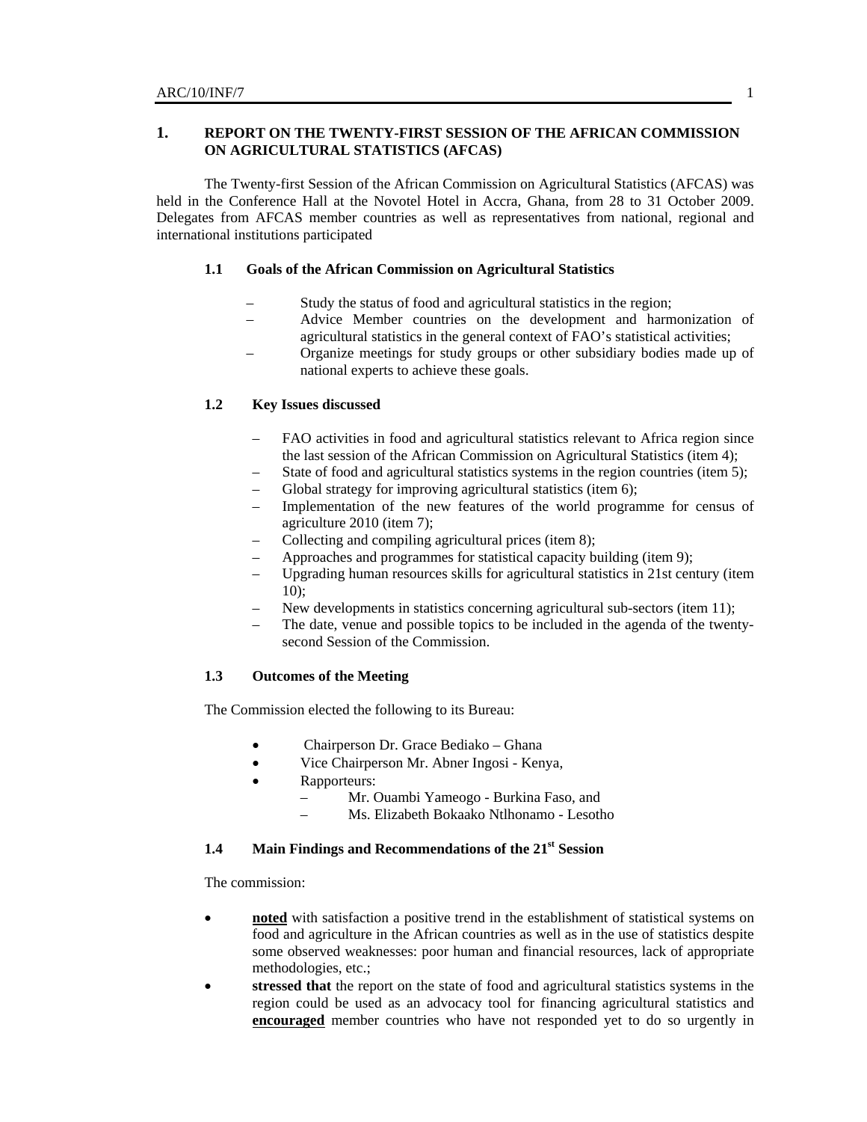# **1. REPORT ON THE TWENTY-FIRST SESSION OF THE AFRICAN COMMISSION ON AGRICULTURAL STATISTICS (AFCAS)**

The Twenty-first Session of the African Commission on Agricultural Statistics (AFCAS) was held in the Conference Hall at the Novotel Hotel in Accra, Ghana, from 28 to 31 October 2009. Delegates from AFCAS member countries as well as representatives from national, regional and international institutions participated

#### **1.1 Goals of the African Commission on Agricultural Statistics**

- Study the status of food and agricultural statistics in the region;
- Advice Member countries on the development and harmonization of agricultural statistics in the general context of FAO's statistical activities;
- Organize meetings for study groups or other subsidiary bodies made up of national experts to achieve these goals.

# **1.2 Key Issues discussed**

- FAO activities in food and agricultural statistics relevant to Africa region since the last session of the African Commission on Agricultural Statistics (item 4);
- State of food and agricultural statistics systems in the region countries (item 5);
- Global strategy for improving agricultural statistics (item 6);
- Implementation of the new features of the world programme for census of agriculture 2010 (item 7);
- Collecting and compiling agricultural prices (item 8);
- Approaches and programmes for statistical capacity building (item 9);
- Upgrading human resources skills for agricultural statistics in 21st century (item 10);
- New developments in statistics concerning agricultural sub-sectors (item 11);
- The date, venue and possible topics to be included in the agenda of the twentysecond Session of the Commission.

### **1.3 Outcomes of the Meeting**

The Commission elected the following to its Bureau:

- Chairperson Dr. Grace Bediako Ghana
- Vice Chairperson Mr. Abner Ingosi Kenya,
- Rapporteurs:
	- Mr. Ouambi Yameogo Burkina Faso, and
		- Ms. Elizabeth Bokaako Ntlhonamo Lesotho

#### **1.4 Main Findings and Recommendations of the 21st Session**

The commission:

- **noted** with satisfaction a positive trend in the establishment of statistical systems on food and agriculture in the African countries as well as in the use of statistics despite some observed weaknesses: poor human and financial resources, lack of appropriate methodologies, etc.;
- **stressed that** the report on the state of food and agricultural statistics systems in the region could be used as an advocacy tool for financing agricultural statistics and **encouraged** member countries who have not responded yet to do so urgently in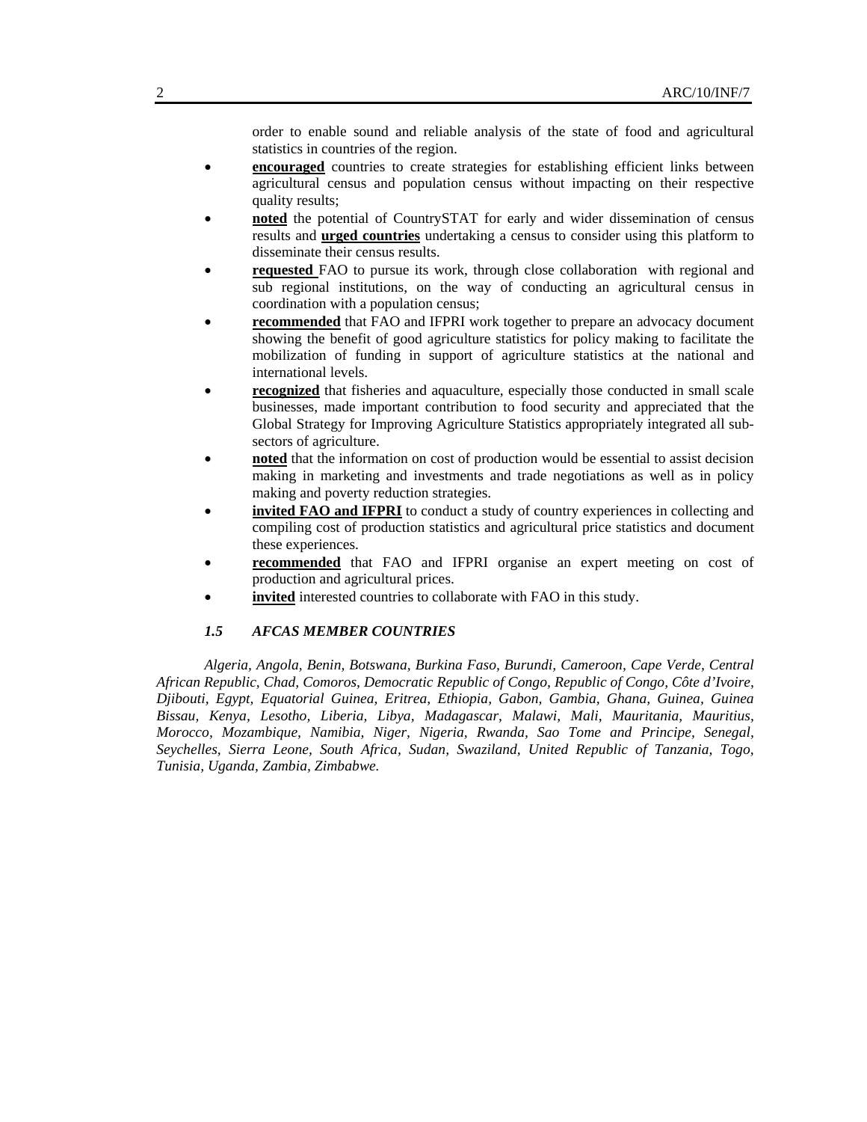order to enable sound and reliable analysis of the state of food and agricultural statistics in countries of the region.

- **encouraged** countries to create strategies for establishing efficient links between agricultural census and population census without impacting on their respective quality results;
- **noted** the potential of CountrySTAT for early and wider dissemination of census results and **urged countries** undertaking a census to consider using this platform to disseminate their census results.
- **requested** FAO to pursue its work, through close collaboration with regional and sub regional institutions, on the way of conducting an agricultural census in coordination with a population census;
- **recommended** that FAO and IFPRI work together to prepare an advocacy document showing the benefit of good agriculture statistics for policy making to facilitate the mobilization of funding in support of agriculture statistics at the national and international levels.
- **recognized** that fisheries and aquaculture, especially those conducted in small scale businesses, made important contribution to food security and appreciated that the Global Strategy for Improving Agriculture Statistics appropriately integrated all subsectors of agriculture.
- **noted** that the information on cost of production would be essential to assist decision making in marketing and investments and trade negotiations as well as in policy making and poverty reduction strategies.
- **invited FAO and IFPRI** to conduct a study of country experiences in collecting and compiling cost of production statistics and agricultural price statistics and document these experiences.
- **recommended** that FAO and IFPRI organise an expert meeting on cost of production and agricultural prices.
- invited interested countries to collaborate with FAO in this study.

## *1.5 AFCAS MEMBER COUNTRIES*

*Algeria, Angola, Benin, Botswana, Burkina Faso, Burundi, Cameroon, Cape Verde, Central African Republic, Chad, Comoros, Democratic Republic of Congo, Republic of Congo, Côte d'Ivoire, Djibouti, Egypt, Equatorial Guinea, Eritrea, Ethiopia, Gabon, Gambia, Ghana, Guinea, Guinea Bissau, Kenya, Lesotho, Liberia, Libya, Madagascar, Malawi, Mali, Mauritania, Mauritius, Morocco, Mozambique, Namibia, Niger, Nigeria, Rwanda, Sao Tome and Principe, Senegal, Seychelles, Sierra Leone, South Africa, Sudan, Swaziland, United Republic of Tanzania, Togo, Tunisia, Uganda, Zambia, Zimbabwe.*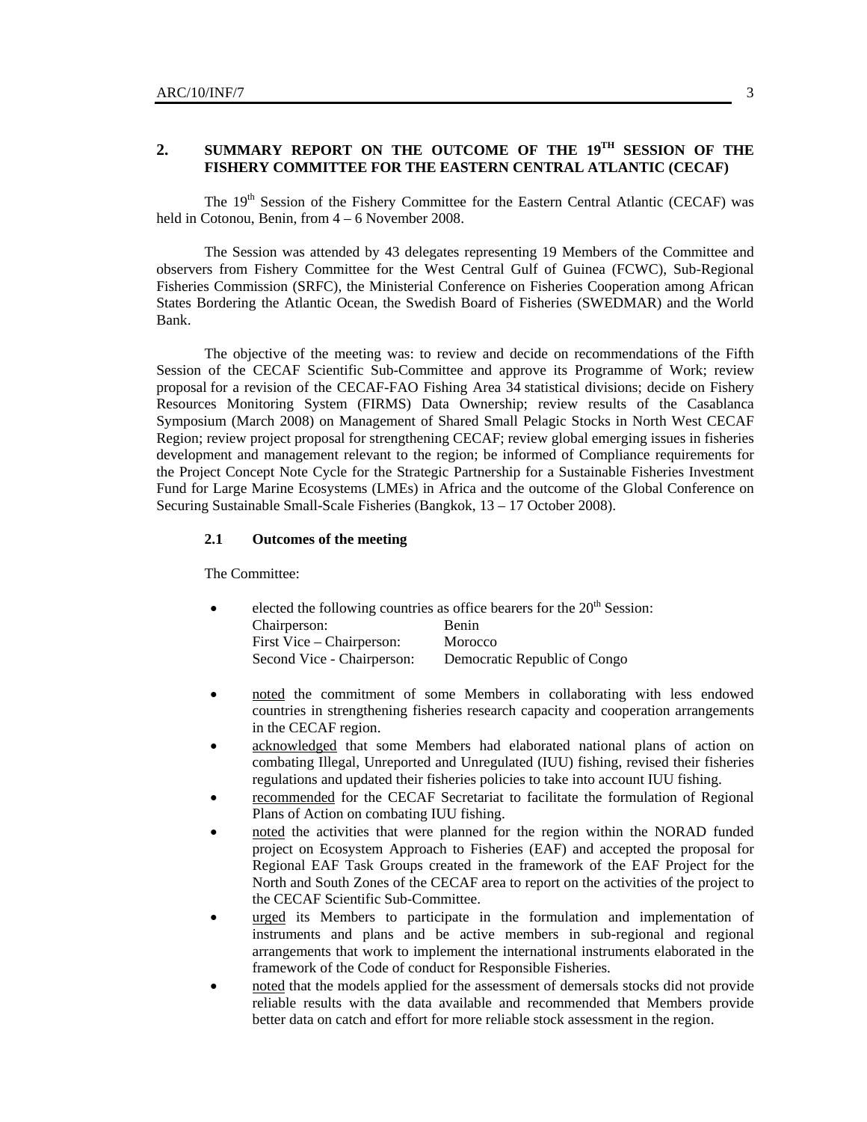# **2. SUMMARY REPORT ON THE OUTCOME OF THE 19TH SESSION OF THE FISHERY COMMITTEE FOR THE EASTERN CENTRAL ATLANTIC (CECAF)**

The 19<sup>th</sup> Session of the Fishery Committee for the Eastern Central Atlantic (CECAF) was held in Cotonou, Benin, from  $4 - 6$  November 2008.

The Session was attended by 43 delegates representing 19 Members of the Committee and observers from Fishery Committee for the West Central Gulf of Guinea (FCWC), Sub-Regional Fisheries Commission (SRFC), the Ministerial Conference on Fisheries Cooperation among African States Bordering the Atlantic Ocean, the Swedish Board of Fisheries (SWEDMAR) and the World Bank.

The objective of the meeting was: to review and decide on recommendations of the Fifth Session of the CECAF Scientific Sub-Committee and approve its Programme of Work; review proposal for a revision of the CECAF-FAO Fishing Area 34 statistical divisions; decide on Fishery Resources Monitoring System (FIRMS) Data Ownership; review results of the Casablanca Symposium (March 2008) on Management of Shared Small Pelagic Stocks in North West CECAF Region; review project proposal for strengthening CECAF; review global emerging issues in fisheries development and management relevant to the region; be informed of Compliance requirements for the Project Concept Note Cycle for the Strategic Partnership for a Sustainable Fisheries Investment Fund for Large Marine Ecosystems (LMEs) in Africa and the outcome of the Global Conference on Securing Sustainable Small-Scale Fisheries (Bangkok, 13 – 17 October 2008).

### **2.1 Outcomes of the meeting**

The Committee:

| $\bullet$ |                            | elected the following countries as office bearers for the 20 <sup>th</sup> Session: |  |  |
|-----------|----------------------------|-------------------------------------------------------------------------------------|--|--|
|           | Chairperson:               | <b>Benin</b>                                                                        |  |  |
|           | First Vice – Chairperson:  | Morocco                                                                             |  |  |
|           | Second Vice - Chairperson: | Democratic Republic of Congo                                                        |  |  |

- noted the commitment of some Members in collaborating with less endowed countries in strengthening fisheries research capacity and cooperation arrangements in the CECAF region.
- acknowledged that some Members had elaborated national plans of action on combating Illegal, Unreported and Unregulated (IUU) fishing, revised their fisheries regulations and updated their fisheries policies to take into account IUU fishing.
- recommended for the CECAF Secretariat to facilitate the formulation of Regional Plans of Action on combating IUU fishing.
- noted the activities that were planned for the region within the NORAD funded project on Ecosystem Approach to Fisheries (EAF) and accepted the proposal for Regional EAF Task Groups created in the framework of the EAF Project for the North and South Zones of the CECAF area to report on the activities of the project to the CECAF Scientific Sub-Committee.
- urged its Members to participate in the formulation and implementation of instruments and plans and be active members in sub-regional and regional arrangements that work to implement the international instruments elaborated in the framework of the Code of conduct for Responsible Fisheries.
- noted that the models applied for the assessment of demersals stocks did not provide reliable results with the data available and recommended that Members provide better data on catch and effort for more reliable stock assessment in the region.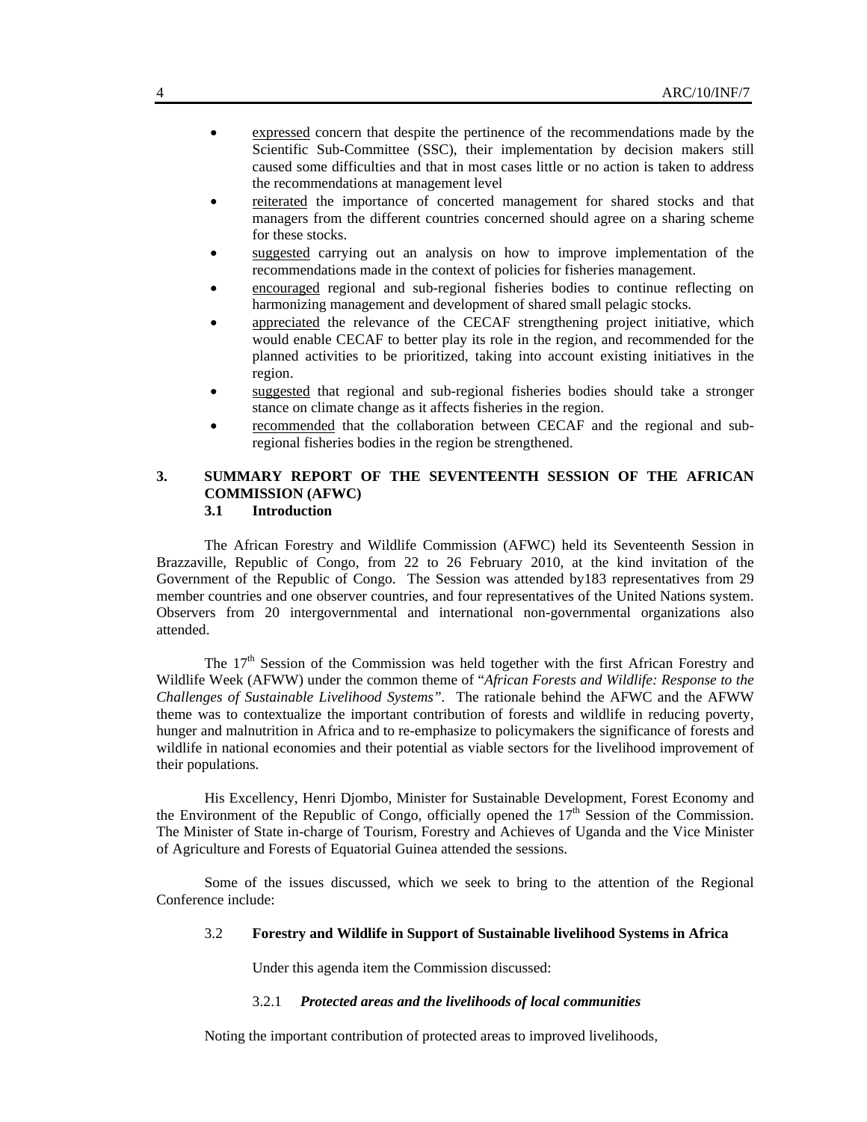- expressed concern that despite the pertinence of the recommendations made by the Scientific Sub-Committee (SSC), their implementation by decision makers still caused some difficulties and that in most cases little or no action is taken to address the recommendations at management level
- reiterated the importance of concerted management for shared stocks and that managers from the different countries concerned should agree on a sharing scheme for these stocks.
- suggested carrying out an analysis on how to improve implementation of the recommendations made in the context of policies for fisheries management.
- encouraged regional and sub-regional fisheries bodies to continue reflecting on harmonizing management and development of shared small pelagic stocks.
- appreciated the relevance of the CECAF strengthening project initiative, which would enable CECAF to better play its role in the region, and recommended for the planned activities to be prioritized, taking into account existing initiatives in the region.
- suggested that regional and sub-regional fisheries bodies should take a stronger stance on climate change as it affects fisheries in the region.
- recommended that the collaboration between CECAF and the regional and subregional fisheries bodies in the region be strengthened.

# **3. SUMMARY REPORT OF THE SEVENTEENTH SESSION OF THE AFRICAN COMMISSION (AFWC) 3.1 Introduction**

The African Forestry and Wildlife Commission (AFWC) held its Seventeenth Session in Brazzaville, Republic of Congo, from 22 to 26 February 2010, at the kind invitation of the Government of the Republic of Congo. The Session was attended by183 representatives from 29 member countries and one observer countries, and four representatives of the United Nations system. Observers from 20 intergovernmental and international non-governmental organizations also attended.

The 17<sup>th</sup> Session of the Commission was held together with the first African Forestry and Wildlife Week (AFWW) under the common theme of "*African Forests and Wildlife: Response to the Challenges of Sustainable Livelihood Systems".* The rationale behind the AFWC and the AFWW theme was to contextualize the important contribution of forests and wildlife in reducing poverty, hunger and malnutrition in Africa and to re-emphasize to policymakers the significance of forests and wildlife in national economies and their potential as viable sectors for the livelihood improvement of their populations.

His Excellency, Henri Djombo, Minister for Sustainable Development, Forest Economy and the Environment of the Republic of Congo, officially opened the  $17<sup>th</sup>$  Session of the Commission. The Minister of State in-charge of Tourism, Forestry and Achieves of Uganda and the Vice Minister of Agriculture and Forests of Equatorial Guinea attended the sessions.

Some of the issues discussed, which we seek to bring to the attention of the Regional Conference include:

#### 3.2 **Forestry and Wildlife in Support of Sustainable livelihood Systems in Africa**

Under this agenda item the Commission discussed:

#### 3.2.1 *Protected areas and the livelihoods of local communities*

Noting the important contribution of protected areas to improved livelihoods,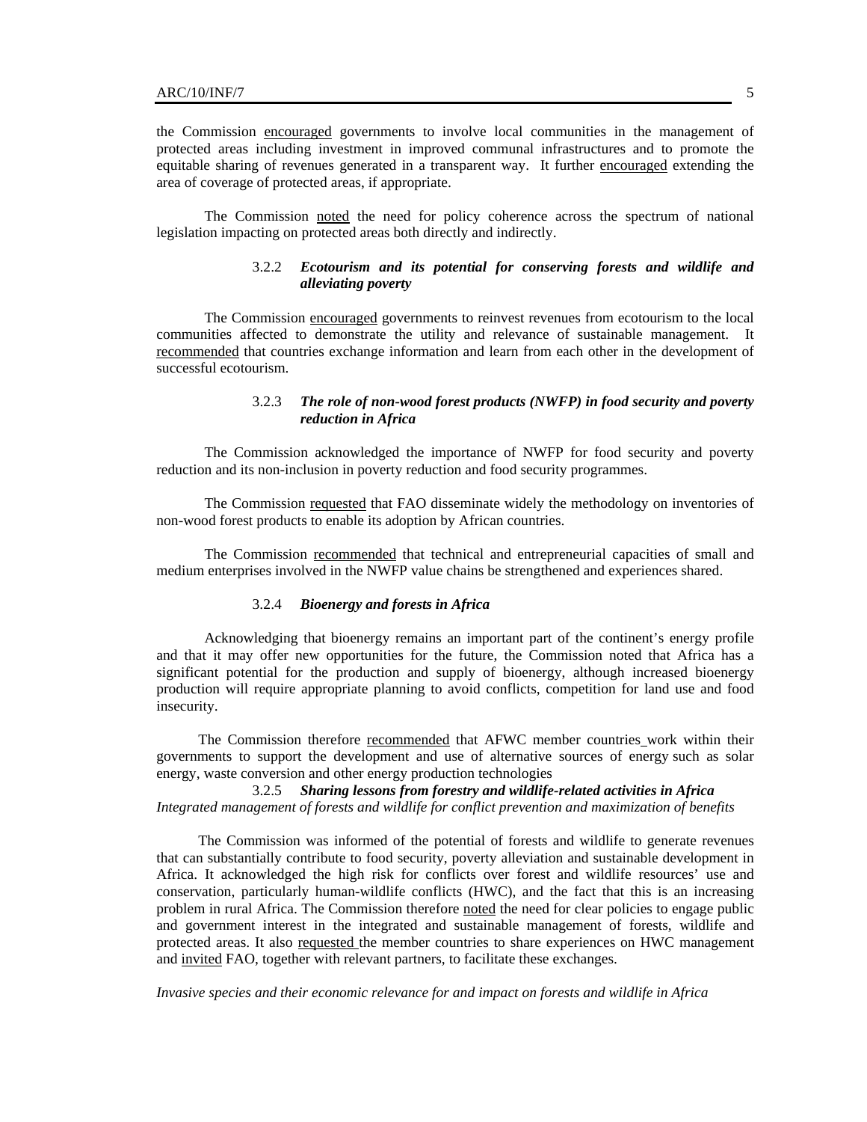the Commission encouraged governments to involve local communities in the management of protected areas including investment in improved communal infrastructures and to promote the equitable sharing of revenues generated in a transparent way. It further encouraged extending the area of coverage of protected areas, if appropriate.

The Commission noted the need for policy coherence across the spectrum of national legislation impacting on protected areas both directly and indirectly.

# 3.2.2 *Ecotourism and its potential for conserving forests and wildlife and alleviating poverty*

The Commission encouraged governments to reinvest revenues from ecotourism to the local communities affected to demonstrate the utility and relevance of sustainable management. It recommended that countries exchange information and learn from each other in the development of successful ecotourism.

### 3.2.3 *The role of non-wood forest products (NWFP) in food security and poverty reduction in Africa*

The Commission acknowledged the importance of NWFP for food security and poverty reduction and its non-inclusion in poverty reduction and food security programmes.

The Commission requested that FAO disseminate widely the methodology on inventories of non-wood forest products to enable its adoption by African countries.

The Commission recommended that technical and entrepreneurial capacities of small and medium enterprises involved in the NWFP value chains be strengthened and experiences shared.

#### 3.2.4 *Bioenergy and forests in Africa*

Acknowledging that bioenergy remains an important part of the continent's energy profile and that it may offer new opportunities for the future, the Commission noted that Africa has a significant potential for the production and supply of bioenergy, although increased bioenergy production will require appropriate planning to avoid conflicts, competition for land use and food insecurity.

The Commission therefore recommended that AFWC member countries work within their governments to support the development and use of alternative sources of energy such as solar energy, waste conversion and other energy production technologies

# 3.2.5 *Sharing lessons from forestry and wildlife-related activities in Africa Integrated management of forests and wildlife for conflict prevention and maximization of benefits*

The Commission was informed of the potential of forests and wildlife to generate revenues that can substantially contribute to food security, poverty alleviation and sustainable development in Africa. It acknowledged the high risk for conflicts over forest and wildlife resources' use and conservation, particularly human-wildlife conflicts (HWC), and the fact that this is an increasing problem in rural Africa. The Commission therefore noted the need for clear policies to engage public and government interest in the integrated and sustainable management of forests, wildlife and protected areas. It also requested the member countries to share experiences on HWC management and invited FAO, together with relevant partners, to facilitate these exchanges.

*Invasive species and their economic relevance for and impact on forests and wildlife in Africa*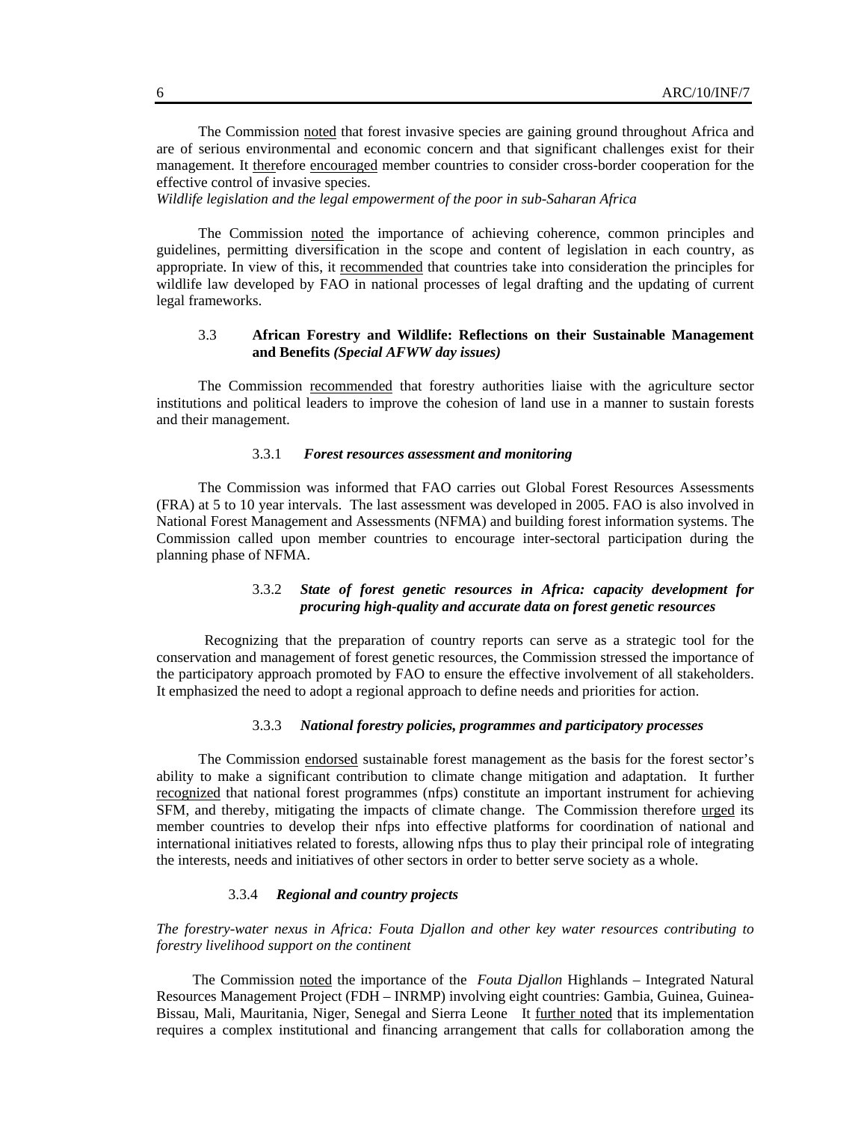The Commission noted that forest invasive species are gaining ground throughout Africa and are of serious environmental and economic concern and that significant challenges exist for their management. It therefore encouraged member countries to consider cross-border cooperation for the effective control of invasive species.

*Wildlife legislation and the legal empowerment of the poor in sub-Saharan Africa* 

The Commission noted the importance of achieving coherence, common principles and guidelines, permitting diversification in the scope and content of legislation in each country, as appropriate. In view of this, it recommended that countries take into consideration the principles for wildlife law developed by FAO in national processes of legal drafting and the updating of current legal frameworks.

## 3.3 **African Forestry and Wildlife: Reflections on their Sustainable Management and Benefits** *(Special AFWW day issues)*

The Commission recommended that forestry authorities liaise with the agriculture sector institutions and political leaders to improve the cohesion of land use in a manner to sustain forests and their management.

#### 3.3.1 *Forest resources assessment and monitoring*

The Commission was informed that FAO carries out Global Forest Resources Assessments (FRA) at 5 to 10 year intervals. The last assessment was developed in 2005. FAO is also involved in National Forest Management and Assessments (NFMA) and building forest information systems. The Commission called upon member countries to encourage inter-sectoral participation during the planning phase of NFMA.

### 3.3.2 *State of forest genetic resources in Africa: capacity development for procuring high-quality and accurate data on forest genetic resources*

Recognizing that the preparation of country reports can serve as a strategic tool for the conservation and management of forest genetic resources, the Commission stressed the importance of the participatory approach promoted by FAO to ensure the effective involvement of all stakeholders. It emphasized the need to adopt a regional approach to define needs and priorities for action.

# 3.3.3 *National forestry policies, programmes and participatory processes*

The Commission endorsed sustainable forest management as the basis for the forest sector's ability to make a significant contribution to climate change mitigation and adaptation. It further recognized that national forest programmes (nfps) constitute an important instrument for achieving SFM, and thereby, mitigating the impacts of climate change. The Commission therefore urged its member countries to develop their nfps into effective platforms for coordination of national and international initiatives related to forests, allowing nfps thus to play their principal role of integrating the interests, needs and initiatives of other sectors in order to better serve society as a whole.

## 3.3.4 *Regional and country projects*

*The forestry-water nexus in Africa: Fouta Djallon and other key water resources contributing to forestry livelihood support on the continent* 

The Commission noted the importance of the *Fouta Djallon* Highlands – Integrated Natural Resources Management Project (FDH – INRMP) involving eight countries: Gambia, Guinea, Guinea-Bissau, Mali, Mauritania, Niger, Senegal and Sierra Leone It further noted that its implementation requires a complex institutional and financing arrangement that calls for collaboration among the